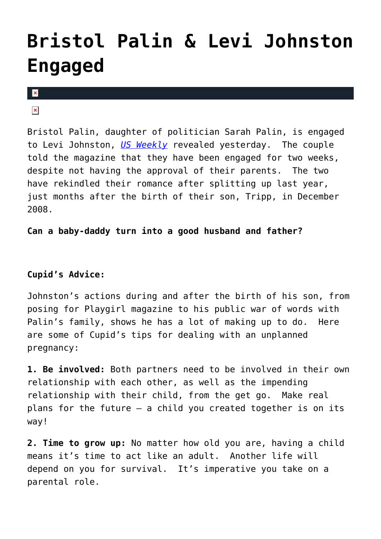# **[Bristol Palin & Levi Johnston](https://cupidspulse.com/2075/bristol-palin-levi-johnston-engaged/) [Engaged](https://cupidspulse.com/2075/bristol-palin-levi-johnston-engaged/)**

#### $\mathbf{x}$

### $\pmb{\times}$

Bristol Palin, daughter of politician Sarah Palin, is engaged to Levi Johnston, *[US Weekly](http://www.usmagazine.com/healthylifestyle/news/exclusive-bristol-palin-levi-johnston-are-engaged-2010147)* revealed yesterday. The couple told the magazine that they have been engaged for two weeks, despite not having the approval of their parents. The two have rekindled their romance after splitting up last year, just months after the birth of their son, Tripp, in December 2008.

#### **Can a baby-daddy turn into a good husband and father?**

## **Cupid's Advice:**

Johnston's actions during and after the birth of his son, from posing for Playgirl magazine to his public war of words with Palin's family, shows he has a lot of making up to do. Here are some of Cupid's tips for dealing with an unplanned pregnancy:

**1. Be involved:** Both partners need to be involved in their own relationship with each other, as well as the impending relationship with their child, from the get go. Make real plans for the future – a child you created together is on its way!

**2. Time to grow up:** No matter how old you are, having a child means it's time to act like an adult. Another life will depend on you for survival. It's imperative you take on a parental role.